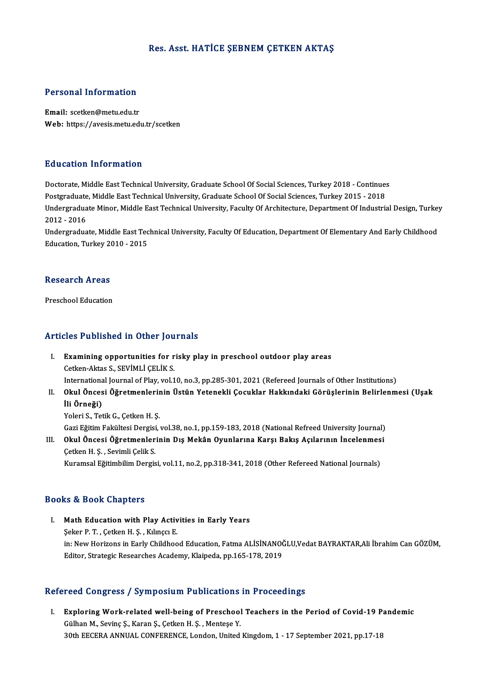# Res. Asst. HATİCE ŞEBNEM ÇETKEN AKTAŞ

# Personal Information

Personal Information<br>Email: scetken@metu.edu.tr<br>Web: https://avasis.metu.edi Email: scetken@metu.edu.tr<br>Web: https://avesis.metu.edu.tr/scetken

## Education Information

Education Information<br>Doctorate, Middle East Technical University, Graduate School Of Social Sciences, Turkey 2018 - Continues<br>Postsraduate Middle East Technical University, Graduate School Of Social Sciences, Turkey 2015 Putroaces Internation<br>Doctorate, Middle East Technical University, Graduate School Of Social Sciences, Turkey 2018 - Continue:<br>Postgraduate, Middle East Technical University, Graduate School Of Social Sciences, Turkey 2015 Doctorate, Middle East Technical University, Graduate School Of Social Sciences, Turkey 2018 - Continues<br>Postgraduate, Middle East Technical University, Graduate School Of Social Sciences, Turkey 2015 - 2018<br>Undergraduate Postgraduate<br>Undergradua<br>2012 - 2016<br>Undergradua Undergraduate Minor, Middle East Technical University, Faculty Of Architecture, Department Of Industrial Design, Turkey<br>2012 - 2016<br>Undergraduate, Middle East Technical University, Faculty Of Education, Department Of Eleme

2012 - 2016<br>Undergraduate, Middle East Technical University, Faculty Of Education, Department Of Elementary And Early Childhood<br>Education, Turkey 2010 - 2015

# education, Turkey 2t<br>Research Areas Re<mark>search Areas</mark><br>Preschool Education

# Preschool Education<br>Articles Published in Other Journals

- I. Examining opportunities for risky play in preschool outdoor play areas Cetken-Aktas S.,SEVİMLİÇELİKS. Examining opportunities for risky play in preschool outdoor play areas<br>Cetken-Aktas S., SEVİMLİ ÇELİK S.<br>International Journal of Play, vol.10, no.3, pp.285-301, 2021 (Refereed Journals of Other Institutions)<br>Okul Önessi Ö Cetken-Aktas S., SEVİMLİ ÇELİK S.<br>International Journal of Play, vol.10, no.3, pp.285-301, 2021 (Refereed Journals of Other Institutions)<br>II. Okul Öncesi Öğretmenlerinin Üstün Yetenekli Çocuklar Hakkındaki Görüşlerinin Bel
- 
- Internationa<br>Okul Önces<br>İli Örneği)<br><sup>Volori S.</sup> Tot <mark>Okul Öncesi Öğretmenleri</mark><br>İli Örneği)<br>Yoleri S., Tetik G., Çetken H. Ş.<br>Ceri Fğitim Feltiltesi Dergisi İli Örneği)<br>Yoleri S., Tetik G., Çetken H. Ş.<br>Gazi Eğitim Fakültesi Dergisi, vol.38, no.1, pp.159-183, 2018 (National Refreed University Journal)

Yoleri S., Tetik G., Çetken H. Ş.<br>Gazi Eğitim Fakültesi Dergisi, vol.38, no.1, pp.159-183, 2018 (National Refreed University Journal)<br>III. Okul Öncesi Öğretmenlerinin Dış Mekân Oyunlarına Karşı Bakış Açılarının İncelenmesi Gazi Eğitim Fakültesi Dergisi<br>Okul Öncesi Öğretmenler<br>Çetken H. Ş. , Sevimli Çelik S.<br>Kunameal Eğitimbilim Dengis Okul Öncesi Öğretmenlerinin Dış Mekân Oyunlarına Karşı Bakış Açılarının İncelenmes<br>Çetken H. Ş. , Sevimli Çelik S.<br>Kuramsal Eğitimbilim Dergisi, vol.11, no.2, pp.318-341, 2018 (Other Refereed National Journals)

Kuramsal Eğitimbilim Dergisi, vol.11, no.2, pp.318-341, 2018 (Other Refereed National Journals)<br>Books & Book Chapters

ooks & Book Chapters<br>I. Math Education with Play Activities in Early Years<br>Seker B.T. Cetter H.S. Kungg E Seker P. T. , Çetken H. Ş. , Kılınçcı E.<br>Şeker P. T. , Çetken H. Ş. , Kılınçcı E.<br>in: New Herizons in Farly Childhoo Şeker P. T. , Çetken H. Ş. , Kılınçcı E.<br>in: New Horizons in Early Childhood Education, Fatma ALİSİNANOĞLU,Vedat BAYRAKTAR,Ali İbrahim Can GÖZÜM, Editor, Strategic Researches Academy, Klaipeda, pp.165-178, 2019

# Refereed Congress / Symposium Publications in Proceedings

efereed Congress / Symposium Publications in Proceedings<br>I. Exploring Work-related well-being of Preschool Teachers in the Period of Covid-19 Pandemic<br>Cülber M. Seving S. Karan S. Cetter H. S. Mortees Y. Exploring Work-related well-being of Preschool<br>Gülhan M., Sevinç Ş., Karan Ş., Çetken H. Ş., Menteşe Y.<br>20th EECERA ANNUAL CONEERENCE London United Gülhan M., Sevinç Ş., Karan Ş., Çetken H. Ş. , Menteşe Y.<br>30th EECERA ANNUAL CONFERENCE, London, United Kingdom, 1 - 17 September 2021, pp.17-18